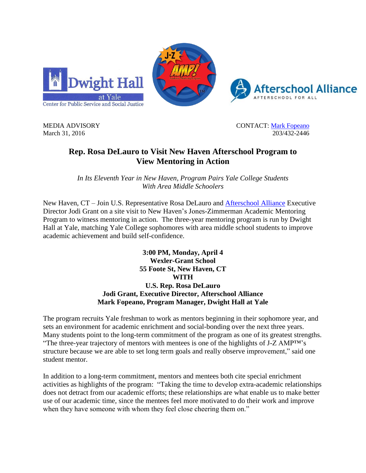





MEDIA ADVISORY CONTACT: [Mark Fopeano](mailto:mark.fopeano@yale.edu) March 31, 2016 203/432-2446

## **Rep. Rosa DeLauro to Visit New Haven Afterschool Program to View Mentoring in Action**

*In Its Eleventh Year in New Haven, Program Pairs Yale College Students With Area Middle Schoolers* 

New Haven, CT – Join U.S. Representative Rosa DeLauro and [Afterschool Alliance](http://www.afterschoolalliance.org/) Executive Director Jodi Grant on a site visit to New Haven's Jones-Zimmerman Academic Mentoring Program to witness mentoring in action. The three-year mentoring program is run by Dwight Hall at Yale, matching Yale College sophomores with area middle school students to improve academic achievement and build self-confidence.

> **3:00 PM, Monday, April 4 Wexler-Grant School 55 Foote St, New Haven, CT WITH U.S. Rep. Rosa DeLauro Jodi Grant, Executive Director, Afterschool Alliance Mark Fopeano, Program Manager, Dwight Hall at Yale**

The program recruits Yale freshman to work as mentors beginning in their sophomore year, and sets an environment for academic enrichment and social-bonding over the next three years. Many students point to the long-term commitment of the program as one of its greatest strengths. "The three-year trajectory of mentors with mentees is one of the highlights of J-Z AMP™'s structure because we are able to set long term goals and really observe improvement," said one student mentor.

In addition to a long-term commitment, mentors and mentees both cite special enrichment activities as highlights of the program: "Taking the time to develop extra-academic relationships does not detract from our academic efforts; these relationships are what enable us to make better use of our academic time, since the mentees feel more motivated to do their work and improve when they have someone with whom they feel close cheering them on."